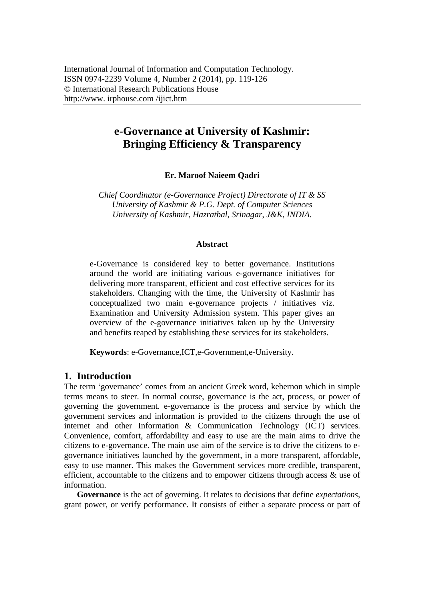# **e-Governance at University of Kashmir: Bringing Efficiency & Transparency**

**Er. Maroof Naieem Qadri** 

*Chief Coordinator (e-Governance Project) Directorate of IT & SS University of Kashmir & P.G. Dept. of Computer Sciences University of Kashmir, Hazratbal, Srinagar, J&K, INDIA.* 

#### **Abstract**

e-Governance is considered key to better governance. Institutions around the world are initiating various e-governance initiatives for delivering more transparent, efficient and cost effective services for its stakeholders. Changing with the time, the University of Kashmir has conceptualized two main e-governance projects / initiatives viz. Examination and University Admission system. This paper gives an overview of the e-governance initiatives taken up by the University and benefits reaped by establishing these services for its stakeholders.

**Keywords**: e-Governance,ICT,e-Government,e-University.

# **1. Introduction**

The term 'governance' comes from an ancient Greek word, kebernon which in simple terms means to steer. In normal course, governance is the act, process, or power of governing the government. e-governance is the process and service by which the government services and information is provided to the citizens through the use of internet and other Information & Communication Technology (ICT) services. Convenience, comfort, affordability and easy to use are the main aims to drive the citizens to e-governance. The main use aim of the service is to drive the citizens to egovernance initiatives launched by the government, in a more transparent, affordable, easy to use manner. This makes the Government services more credible, transparent, efficient, accountable to the citizens and to empower citizens through access & use of information.

**Governance** is the act of governing. It relates to decisions that define *expectations*, grant power, or verify performance. It consists of either a separate process or part of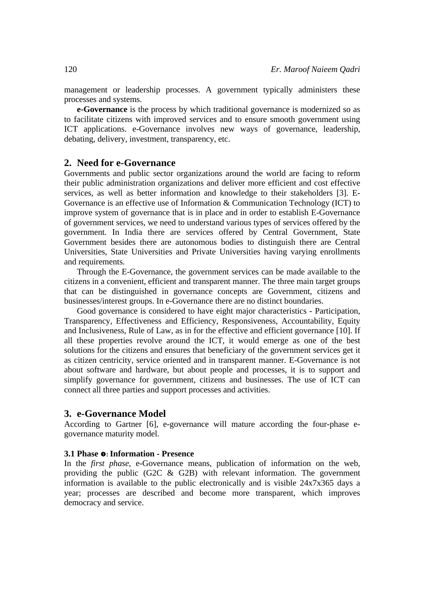management or leadership processes. A government typically administers these processes and systems.

**e-Governance** is the process by which traditional governance is modernized so as to facilitate citizens with improved services and to ensure smooth government using ICT applications. e-Governance involves new ways of governance, leadership, debating, delivery, investment, transparency, etc.

## **2. Need for e-Governance**

Governments and public sector organizations around the world are facing to reform their public administration organizations and deliver more efficient and cost effective services, as well as better information and knowledge to their stakeholders [3]. E-Governance is an effective use of Information & Communication Technology (ICT) to improve system of governance that is in place and in order to establish E-Governance of government services, we need to understand various types of services offered by the government. In India there are services offered by Central Government, State Government besides there are autonomous bodies to distinguish there are Central Universities, State Universities and Private Universities having varying enrollments and requirements.

Through the E-Governance, the government services can be made available to the citizens in a convenient, efficient and transparent manner. The three main target groups that can be distinguished in governance concepts are Government, citizens and businesses/interest groups. In e-Governance there are no distinct boundaries.

Good governance is considered to have eight major characteristics - Participation, Transparency, Effectiveness and Efficiency, Responsiveness, Accountability, Equity and Inclusiveness, Rule of Law, as in for the effective and efficient governance [10]. If all these properties revolve around the ICT, it would emerge as one of the best solutions for the citizens and ensures that beneficiary of the government services get it as citizen centricity, service oriented and in transparent manner. E-Governance is not about software and hardware, but about people and processes, it is to support and simplify governance for government, citizens and businesses. The use of ICT can connect all three parties and support processes and activities.

#### **3. e-Governance Model**

According to Gartner [6], e-governance will mature according the four-phase egovernance maturity model.

#### **3.1 Phase**  $\bullet$ **: Information - Presence**

In the *first phase*, e-Governance means, publication of information on the web, providing the public (G2C & G2B) with relevant information. The government information is available to the public electronically and is visible 24x7x365 days a year; processes are described and become more transparent, which improves democracy and service.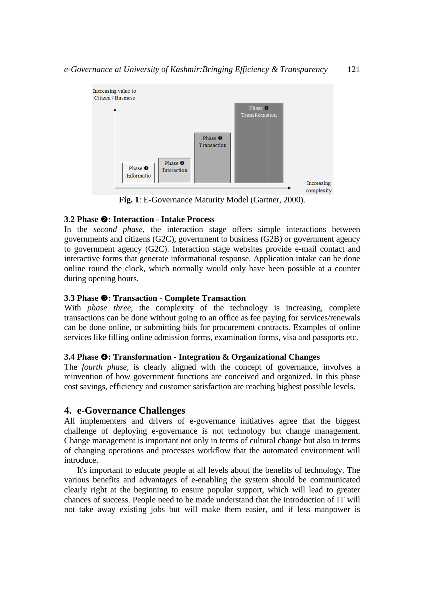

Fig. 1: E-Governance Maturity Model (Gartner, 2000).

# **3.2 Phase @: Interaction - Intake Process**

In the *second phase*, the interaction stage offers simple interactions between governments and citizens (G2C), government to business (G2B) or government agency to government agency (G2C). Interaction stage websites provide e-mail contact and interactive forms that generate informational response. Application intake can be done online round the clock, which normally would only have been possible at a counter during opening hours.

# **3.3 Phase**  $\bullet$ **: Transaction - Complete Transaction**

With *phase three*, the complexity of the technology is increasing, complete transactions can be done without going to an office as fee paying for services/renewals can be done online, or submitting bids for procurement contracts. Examples of online services like filling online admission forms, examination forms, visa and passports etc.

### **3.4 Phase**  $\bullet$ **: Transformation - Integration & Organizational Changes**

The *fourth phase*, is clearly aligned with the concept of governance, involves a reinvention of how government functions are conceived and organized. In this phase cost savings, efficiency and customer satisfaction are reaching highest possible levels.

# **4. e-Governance Challenges**

All implementers and drivers of e-governance initiatives agree that the biggest challenge of deploying e-governance is not technology but change management. Change management is important not only in terms of cultural change but also in terms of changing operations and processes workflow that the automated environment will introduce.

various benefits and advantages of e-enabling the system should be communicated clearly right at the beginning to ensure popular support, which will lead to greater chances of success. People need to be made understand that the introduction of IT will not take away existing jobs but will make them easier, and if less manpower is It's important to educate people at all levels about the benefits of technology. The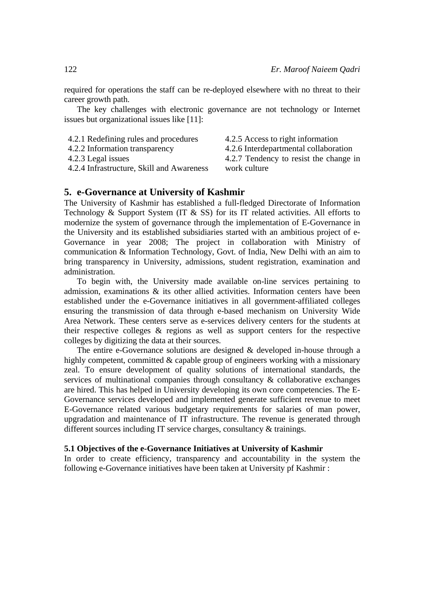required for operations the staff can be re-deployed elsewhere with no threat to their career growth path.

The key challenges with electronic governance are not technology or Internet issues but organizational issues like [11]:

- 4.2.1 Redefining rules and procedures
	-
- 4.2.2 Information transparency 4.2.3 Legal issues
- 4.2.4 Infrastructure, Skill and Awareness
- 4.2.5 Access to right information 4.2.6 Interdepartmental collaboration
- 4.2.7 Tendency to resist the change in work culture

**5. e-Governance at University of Kashmir**  The University of Kashmir has established a full-fledged Directorate of Information Technology & Support System (IT  $\&$  SS) for its IT related activities. All efforts to modernize the system of governance through the implementation of E-Governance in the University and its established subsidiaries started with an ambitious project of e-Governance in year 2008; The project in collaboration with Ministry of communication & Information Technology, Govt. of India, New Delhi with an aim to bring transparency in University, admissions, student registration, examination and administration.

To begin with, the University made available on-line services pertaining to admission, examinations & its other allied activities. Information centers have been established under the e-Governance initiatives in all government-affiliated colleges ensuring the transmission of data through e-based mechanism on University Wide Area Network. These centers serve as e-services delivery centers for the students at their respective colleges & regions as well as support centers for the respective colleges by digitizing the data at their sources.

The entire e-Governance solutions are designed & developed in-house through a highly competent, committed & capable group of engineers working with a missionary zeal. To ensure development of quality solutions of international standards, the services of multinational companies through consultancy & collaborative exchanges are hired. This has helped in University developing its own core competencies. The E-Governance services developed and implemented generate sufficient revenue to meet E-Governance related various budgetary requirements for salaries of man power, upgradation and maintenance of IT infrastructure. The revenue is generated through different sources including IT service charges, consultancy & trainings.

#### **5.1 Objectives of the e-Governance Initiatives at University of Kashmir**

In order to create efficiency, transparency and accountability in the system the following e-Governance initiatives have been taken at University pf Kashmir :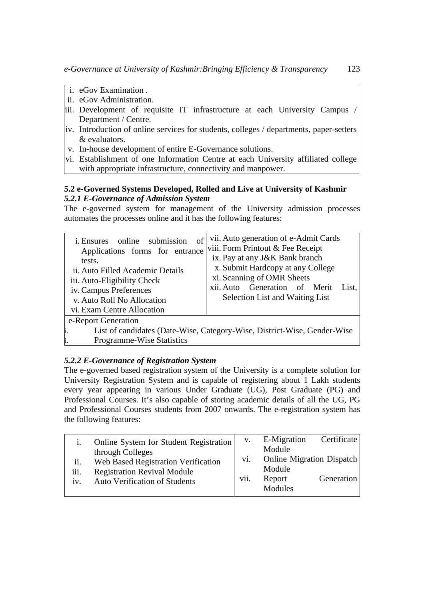- i. eGov Examination .
- ii. eGov Administration.
- iii. Development of requisite IT infrastructure at each University Campus / Department / Centre.
- iv. Introduction of online services for students, colleges / departments, paper-setters & evaluators.
- v. In-house development of entire E-Governance solutions.
- vi. Establishment of one Information Centre at each University affiliated college with appropriate infrastructure, connectivity and manpower.

## **5.2 e-Governed Systems Developed, Rolled and Live at University of Kashmir**  *5.2.1 E-Governance of Admission System*

The e-governed system for management of the University admission processes automates the processes online and it has the following features:

| of<br><i>i</i> . Ensures online submission<br>Applications forms for entrance<br>tests.<br>ii. Auto Filled Academic Details<br>iii. Auto-Eligibility Check<br>iv. Campus Preferences<br>v. Auto Roll No Allocation<br>vi. Exam Centre Allocation | vii. Auto generation of e-Admit Cards<br>viii. Form Printout & Fee Receipt<br>ix. Pay at any J&K Bank branch<br>x. Submit Hardcopy at any College<br>xi. Scanning of OMR Sheets<br>xii. Auto Generation of Merit<br>List.<br>Selection List and Waiting List |  |  |  |
|--------------------------------------------------------------------------------------------------------------------------------------------------------------------------------------------------------------------------------------------------|--------------------------------------------------------------------------------------------------------------------------------------------------------------------------------------------------------------------------------------------------------------|--|--|--|
| e-Report Generation                                                                                                                                                                                                                              |                                                                                                                                                                                                                                                              |  |  |  |
| List of candidates (Date-Wise, Category-Wise, District-Wise, Gender-Wise                                                                                                                                                                         |                                                                                                                                                                                                                                                              |  |  |  |
| <b>Programme-Wise Statistics</b>                                                                                                                                                                                                                 |                                                                                                                                                                                                                                                              |  |  |  |

# *5.2.2 E-Governance of Registration System*

The e-governed based registration system of the University is a complete solution for University Registration System and is capable of registering about 1 Lakh students every year appearing in various Under Graduate (UG), Post Graduate (PG) and Professional Courses. It's also capable of storing academic details of all the UG, PG and Professional Courses students from 2007 onwards. The e-registration system has the following features:

|                    | Online System for Student Registration                                                                                                |             | E-Migration                                                        | Certificate |
|--------------------|---------------------------------------------------------------------------------------------------------------------------------------|-------------|--------------------------------------------------------------------|-------------|
| ii.<br>iii.<br>iv. | through Colleges<br>Web Based Registration Verification<br><b>Registration Revival Module</b><br><b>Auto Verification of Students</b> | V1.<br>vii. | Module<br>Online Migration Dispatch<br>Module<br>Report<br>Modules | Generation  |
|                    |                                                                                                                                       |             |                                                                    |             |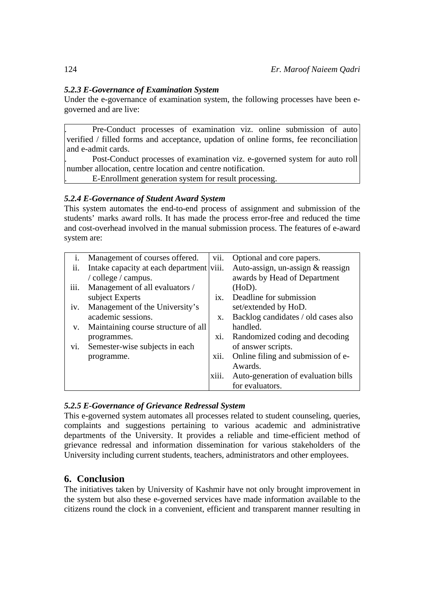# *5.2.3 E-Governance of Examination System*

Under the e-governance of examination system, the following processes have been egoverned and are live:

. Pre-Conduct processes of examination viz. online submission of auto verified / filled forms and acceptance, updation of online forms, fee reconciliation and e-admit cards.

. Post-Conduct processes of examination viz. e-governed system for auto roll number allocation, centre location and centre notification.

. E-Enrollment generation system for result processing.

# *5.2.4 E-Governance of Student Award System*

This system automates the end-to-end process of assignment and submission of the students' marks award rolls. It has made the process error-free and reduced the time and cost-overhead involved in the manual submission process. The features of e-award system are:

| i.   | Management of courses offered.      | V11.  | Optional and core papers.           |
|------|-------------------------------------|-------|-------------------------------------|
| ii.  | Intake capacity at each department  | viii. | Auto-assign, un-assign & reassign   |
|      | / college / campus.                 |       | awards by Head of Department        |
| iii. | Management of all evaluators /      |       | $(HoD)$ .                           |
|      | subject Experts                     | ix    | Deadline for submission             |
| iv.  | Management of the University's      |       | set/extended by HoD.                |
|      | academic sessions.                  | X.    | Backlog candidates / old cases also |
| V.   | Maintaining course structure of all |       | handled.                            |
|      | programmes.                         | XI.   | Randomized coding and decoding      |
| vi.  | Semester-wise subjects in each      |       | of answer scripts.                  |
|      | programme.                          | xii.  | Online filing and submission of e-  |
|      |                                     |       | Awards.                             |
|      |                                     | X111. | Auto-generation of evaluation bills |
|      |                                     |       | for evaluators.                     |

# *5.2.5 E-Governance of Grievance Redressal System*

This e-governed system automates all processes related to student counseling, queries, complaints and suggestions pertaining to various academic and administrative departments of the University. It provides a reliable and time-efficient method of grievance redressal and information dissemination for various stakeholders of the University including current students, teachers, administrators and other employees.

# **6. Conclusion**

The initiatives taken by University of Kashmir have not only brought improvement in the system but also these e-governed services have made information available to the citizens round the clock in a convenient, efficient and transparent manner resulting in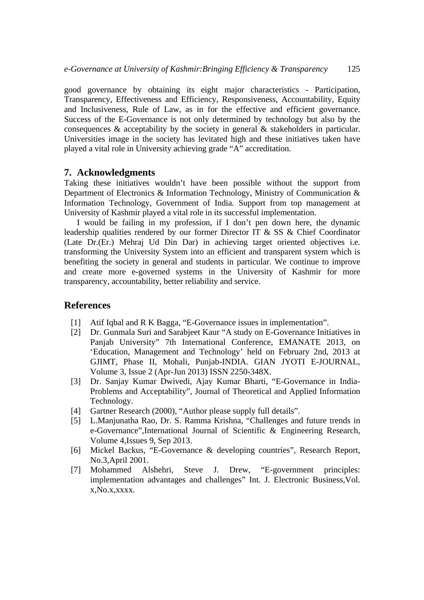good governance by obtaining its eight major characteristics - Participation, Transparency, Effectiveness and Efficiency, Responsiveness, Accountability, Equity and Inclusiveness, Rule of Law, as in for the effective and efficient governance. Success of the E-Governance is not only determined by technology but also by the consequences & acceptability by the society in general & stakeholders in particular. Universities image in the society has levitated high and these initiatives taken have played a vital role in University achieving grade "A" accreditation.

## **7. Acknowledgments**

Taking these initiatives wouldn't have been possible without the support from Department of Electronics & Information Technology, Ministry of Communication & Information Technology, Government of India. Support from top management at University of Kashmir played a vital role in its successful implementation.

I would be failing in my profession, if I don't pen down here, the dynamic leadership qualities rendered by our former Director IT & SS & Chief Coordinator (Late Dr.(Er.) Mehraj Ud Din Dar) in achieving target oriented objectives i.e. transforming the University System into an efficient and transparent system which is benefiting the society in general and students in particular. We continue to improve and create more e-governed systems in the University of Kashmir for more transparency, accountability, better reliability and service.

### **References**

- [1] Atif Iqbal and R K Bagga, "E-Governance issues in implementation".
- [2] Dr. Gunmala Suri and Sarabjeet Kaur "A study on E-Governance Initiatives in Panjab University" 7th International Conference, EMANATE 2013, on 'Education, Management and Technology' held on February 2nd, 2013 at GJIMT, Phase II, Mohali, Punjab-INDIA. GIAN JYOTI E-JOURNAL, Volume 3, Issue 2 (Apr-Jun 2013) ISSN 2250-348X.
- [3] Dr. Sanjay Kumar Dwivedi, Ajay Kumar Bharti, "E-Governance in India-Problems and Acceptability", Journal of Theoretical and Applied Information Technology.
- [4] Gartner Research (2000), "Author please supply full details".
- [5] L.Manjunatha Rao, Dr. S. Ramma Krishna, "Challenges and future trends in e-Governance",International Journal of Scientific & Engineering Research, Volume 4,Issues 9, Sep 2013.
- [6] Mickel Backus, "E-Governance & developing countries", Research Report, No.3,April 2001.
- [7] Mohammed Alshehri, Steve J. Drew, "E-government principles: implementation advantages and challenges" Int. J. Electronic Business,Vol. x,No.x,xxxx.